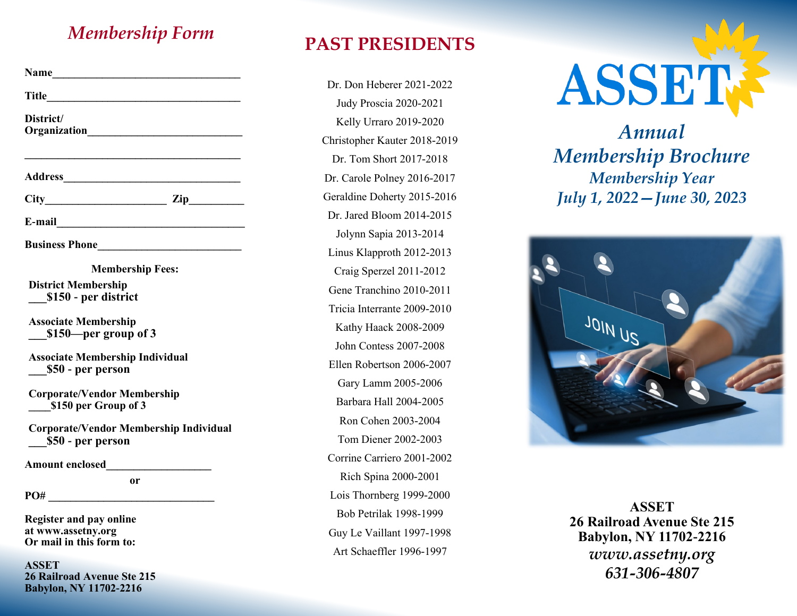# *Membership Form* **PAST PRESIDENTS**

| Name                                                                             |  |
|----------------------------------------------------------------------------------|--|
|                                                                                  |  |
| District/                                                                        |  |
| <b>Address Executive 2016</b>                                                    |  |
| $City$ $Zip$                                                                     |  |
|                                                                                  |  |
| <b>Business Phone</b>                                                            |  |
| <b>Membership Fees:</b>                                                          |  |
| <b>District Membership</b><br>\$150 - per district                               |  |
| <b>Associate Membership</b><br>\$150-per group of 3                              |  |
| <b>Associate Membership Individual</b><br>\$50 - per person                      |  |
| <b>Corporate/Vendor Membership</b><br>\$150 per Group of 3                       |  |
| <b>Corporate/Vendor Membership Individual</b><br>\$50 - per person               |  |
|                                                                                  |  |
| <b>or</b><br>PO#                                                                 |  |
| <b>Register and pay online</b><br>at www.assetny.org<br>Or mail in this form to: |  |

**ASSET 26 Railroad Avenue Ste 215 Babylon, NY 11702-2216**

Dr. Don Heberer 2021-2022 Judy Proscia 2020-2021 Kelly Urraro 2019-2020 Christopher Kauter 2018-2019 Dr. Tom Short 2017-2018 Dr. Carole Polney 2016-2017 Geraldine Doherty 2015-2016 Dr. Jared Bloom 2014-2015 Jolynn Sapia 2013-2014 Linus Klapproth 2012-2013 Craig Sperzel 2011-2012 Gene Tranchino 2010-2011 Tricia Interrante 2009-2010 Kathy Haack 2008-2009 John Contess 2007-2008 Ellen Robertson 2006-2007 Gary Lamm 2005-2006 Barbara Hall 2004-2005 Ron Cohen 2003-2004 Tom Diener 2002-2003 Corrine Carriero 2001-2002 Rich Spina 2000-2001 Lois Thornberg 1999-2000 Bob Petrilak 1998-1999 Guy Le Vaillant 1997-1998 Art Schaeffler 1996-1997



*Annual Membership Brochure Membership Year July 1, 2022—June 30, 2023*



**ASSET 26 Railroad Avenue Ste 215 Babylon, NY 11702-2216** *www.assetny.org 631-306-4807*